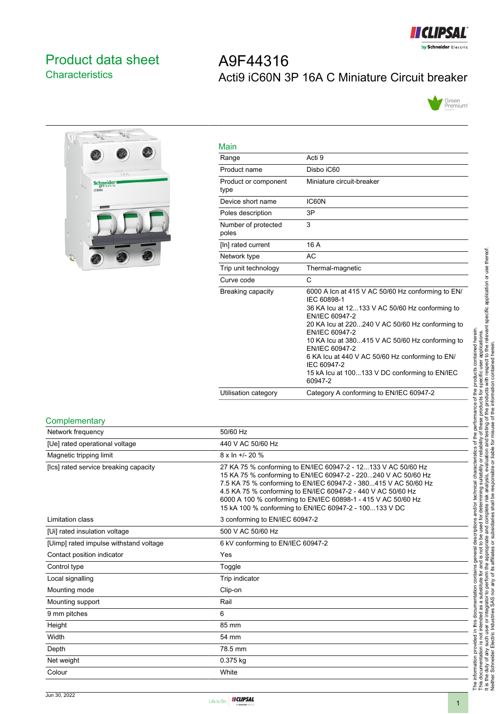

# <span id="page-0-0"></span>Product data sheet **Characteristics**

# $\overline{P_{\text{U}_1}}$  $\overline{v}$ Schneider

| A9F44316 |                                                |  |
|----------|------------------------------------------------|--|
|          | Acti9 iC60N 3P 16A C Miniature Circuit breaker |  |



| Main                         |                                                                                                                                                                                                                                                                                                                                                                                                              |
|------------------------------|--------------------------------------------------------------------------------------------------------------------------------------------------------------------------------------------------------------------------------------------------------------------------------------------------------------------------------------------------------------------------------------------------------------|
| Range                        | Acti 9                                                                                                                                                                                                                                                                                                                                                                                                       |
| Product name                 | Disbo iC60                                                                                                                                                                                                                                                                                                                                                                                                   |
| Product or component<br>type | Miniature circuit-breaker                                                                                                                                                                                                                                                                                                                                                                                    |
| Device short name            | IC60N                                                                                                                                                                                                                                                                                                                                                                                                        |
| Poles description            | 3P                                                                                                                                                                                                                                                                                                                                                                                                           |
| Number of protected<br>poles | 3                                                                                                                                                                                                                                                                                                                                                                                                            |
| [In] rated current           | 16 A                                                                                                                                                                                                                                                                                                                                                                                                         |
| Network type                 | AC                                                                                                                                                                                                                                                                                                                                                                                                           |
| Trip unit technology         | Thermal-magnetic                                                                                                                                                                                                                                                                                                                                                                                             |
| Curve code                   | C                                                                                                                                                                                                                                                                                                                                                                                                            |
| Breaking capacity            | 6000 A Icn at 415 V AC 50/60 Hz conforming to EN/<br>IEC 60898-1<br>36 KA Icu at 12133 V AC 50/60 Hz conforming to<br>EN/IEC 60947-2<br>20 KA Icu at 220240 V AC 50/60 Hz conforming to<br>EN/IEC 60947-2<br>10 KA lcu at 380415 V AC 50/60 Hz conforming to<br>EN/IEC 60947-2<br>6 KA Icu at 440 V AC 50/60 Hz conforming to EN/<br>IEC 60947-2<br>15 kA lcu at 100133 V DC conforming to EN/IEC<br>60947-2 |
| Utilisation category         | Category A conforming to EN/IEC 60947-2                                                                                                                                                                                                                                                                                                                                                                      |

#### **Complementary**

| Network frequency                      | 50/60 Hz                                                                                                                                                                                                                                                                                                                                                                                      |
|----------------------------------------|-----------------------------------------------------------------------------------------------------------------------------------------------------------------------------------------------------------------------------------------------------------------------------------------------------------------------------------------------------------------------------------------------|
| [Ue] rated operational voltage         | 440 V AC 50/60 Hz                                                                                                                                                                                                                                                                                                                                                                             |
| Magnetic tripping limit                | $8 \times \ln +1$ - 20 %                                                                                                                                                                                                                                                                                                                                                                      |
| [Ics] rated service breaking capacity  | 27 KA 75 % conforming to EN/IEC 60947-2 - 12133 V AC 50/60 Hz<br>15 KA 75 % conforming to EN/IEC 60947-2 - 220240 V AC 50/60 Hz<br>7.5 KA 75 % conforming to EN/IEC 60947-2 - 380415 V AC 50/60 Hz<br>4.5 KA 75 % conforming to EN/IEC 60947-2 - 440 V AC 50/60 Hz<br>6000 A 100 % conforming to EN/IEC 60898-1 - 415 V AC 50/60 Hz<br>15 kA 100 % conforming to EN/IEC 60947-2 - 100133 V DC |
| Limitation class                       | 3 conforming to EN/IEC 60947-2                                                                                                                                                                                                                                                                                                                                                                |
| [Ui] rated insulation voltage          | 500 V AC 50/60 Hz                                                                                                                                                                                                                                                                                                                                                                             |
| [Uimp] rated impulse withstand voltage | 6 kV conforming to EN/IEC 60947-2                                                                                                                                                                                                                                                                                                                                                             |
| Contact position indicator             | Yes                                                                                                                                                                                                                                                                                                                                                                                           |
| Control type                           | Toggle                                                                                                                                                                                                                                                                                                                                                                                        |
| Local signalling                       | Trip indicator                                                                                                                                                                                                                                                                                                                                                                                |
| Mounting mode                          | Clip-on                                                                                                                                                                                                                                                                                                                                                                                       |
| Mounting support                       | Rail                                                                                                                                                                                                                                                                                                                                                                                          |
| 9 mm pitches                           | 6                                                                                                                                                                                                                                                                                                                                                                                             |
| Height                                 | 85 mm                                                                                                                                                                                                                                                                                                                                                                                         |
| Width                                  | 54 mm                                                                                                                                                                                                                                                                                                                                                                                         |
| Depth                                  | 78.5 mm                                                                                                                                                                                                                                                                                                                                                                                       |
| Net weight                             | 0.375 kg                                                                                                                                                                                                                                                                                                                                                                                      |
| Colour                                 | White                                                                                                                                                                                                                                                                                                                                                                                         |